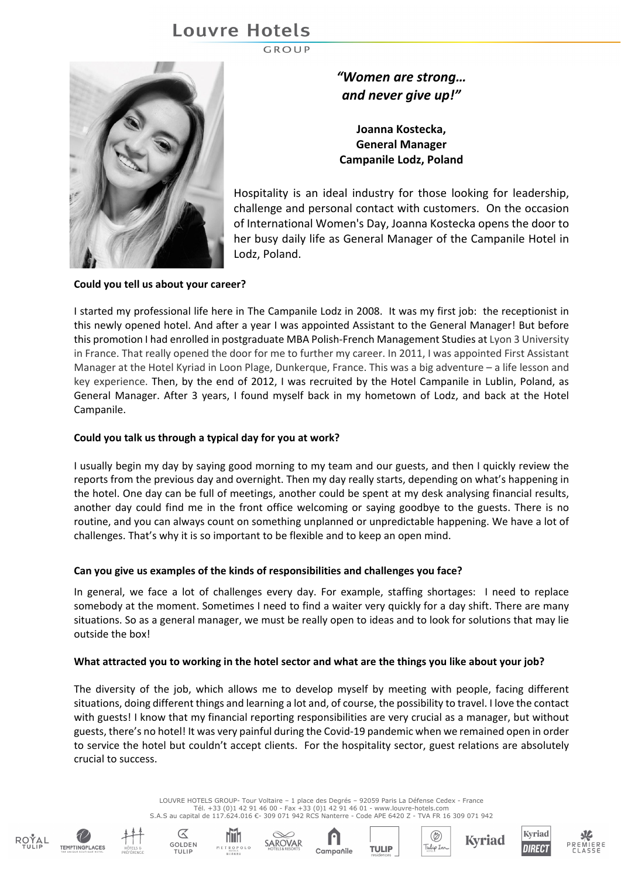# **Louvre Hotels**

**GROUP** 



*"Women are strong… and never give up!"*

**Joanna Kostecka, General Manager Campanile Lodz, Poland**

Hospitality is an ideal industry for those looking for leadership, challenge and personal contact with customers. On the occasion of International Women's Day, Joanna Kostecka opens the door to her busy daily life as General Manager of the Campanile Hotel in Lodz, Poland.

# **Could you tell us about your career?**

I started my professional life here in The Campanile Lodz in 2008. It was my first job: the receptionist in this newly opened hotel. And after a year I was appointed Assistant to the General Manager! But before this promotion I had enrolled in postgraduate MBA Polish-French Management Studies at Lyon 3 University in France. That really opened the door for me to further my career. In 2011, I was appointed First Assistant Manager at the Hotel Kyriad in Loon Plage, Dunkerque, France. This was a big adventure – a life lesson and key experience. Then, by the end of 2012, I was recruited by the Hotel Campanile in Lublin, Poland, as General Manager. After 3 years, I found myself back in my hometown of Lodz, and back at the Hotel Campanile.

## **Could you talk us through a typical day for you at work?**

I usually begin my day by saying good morning to my team and our guests, and then I quickly review the reports from the previous day and overnight. Then my day really starts, depending on what's happening in the hotel. One day can be full of meetings, another could be spent at my desk analysing financial results, another day could find me in the front office welcoming or saying goodbye to the guests. There is no routine, and you can always count on something unplanned or unpredictable happening. We have a lot of challenges. That's why it is so important to be flexible and to keep an open mind.

# **Can you give us examples of the kinds of responsibilities and challenges you face?**

In general, we face a lot of challenges every day. For example, staffing shortages: I need to replace somebody at the moment. Sometimes I need to find a waiter very quickly for a day shift. There are many situations. So as a general manager, we must be really open to ideas and to look for solutions that may lie outside the box!

#### **What attracted you to working in the hotel sector and what are the things you like about your job?**

The diversity of the job, which allows me to develop myself by meeting with people, facing different situations, doing different things and learning a lot and, of course, the possibility to travel. I love the contact with guests! I know that my financial reporting responsibilities are very crucial as a manager, but without guests, there's no hotel! It was very painful during the Covid-19 pandemic when we remained open in order to service the hotel but couldn't accept clients. For the hospitality sector, guest relations are absolutely crucial to success.

> LOUVRE HOTELS GROUP- Tour Voltaire – 1 place des Degrés – 92059 Paris La Défense Cedex - France Tél. +33 (0)1 42 91 46 00 - Fax +33 (0)1 42 91 46 01 - www.louvre-hotels.com S.A.S au capital de 117.624.016 €- 309 071 942 RCS Nanterre - Code APE 6420 Z - TVA FR 16 309 071 942